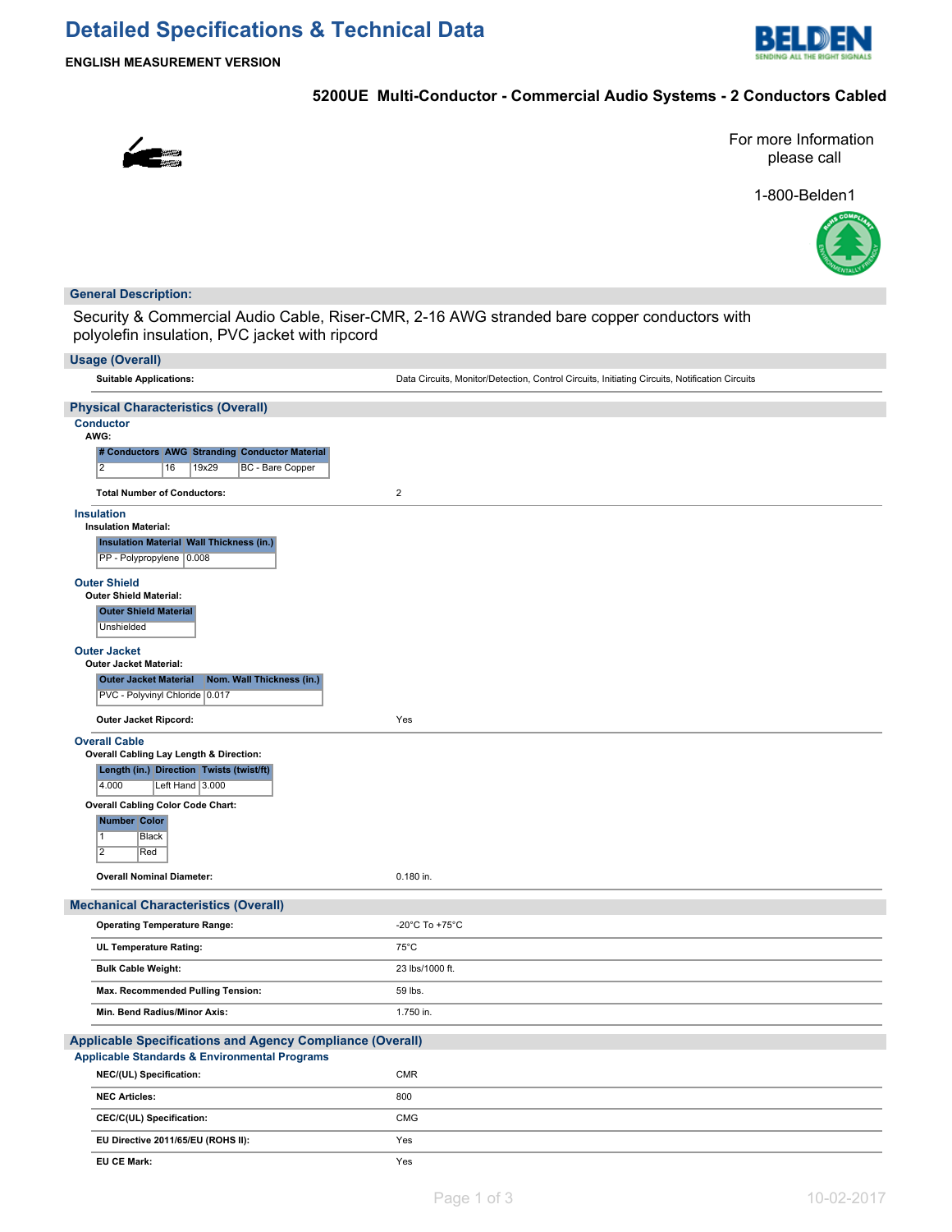# **Detailed Specifications & Technical Data**



**ENGLISH MEASUREMENT VERSION**

# **5200UE Multi-Conductor - Commercial Audio Systems - 2 Conductors Cabled**



For more Information please call

1-800-Belden1



### **General Description:**

Security & Commercial Audio Cable, Riser-CMR, 2-16 AWG stranded bare copper conductors with polyolefin insulation, PVC jacket with ripcord

| <b>Usage (Overall)</b>                                                                             |                                                                                                |
|----------------------------------------------------------------------------------------------------|------------------------------------------------------------------------------------------------|
| <b>Suitable Applications:</b>                                                                      | Data Circuits, Monitor/Detection, Control Circuits, Initiating Circuits, Notification Circuits |
| <b>Physical Characteristics (Overall)</b>                                                          |                                                                                                |
| <b>Conductor</b>                                                                                   |                                                                                                |
| AWG:                                                                                               |                                                                                                |
| # Conductors AWG Stranding Conductor Material<br>$\overline{2}$<br>19x29<br>BC - Bare Copper<br>16 |                                                                                                |
|                                                                                                    |                                                                                                |
| <b>Total Number of Conductors:</b>                                                                 | $\overline{2}$                                                                                 |
| <b>Insulation</b><br><b>Insulation Material:</b>                                                   |                                                                                                |
| <b>Insulation Material Wall Thickness (in.)</b>                                                    |                                                                                                |
| PP - Polypropylene 0.008                                                                           |                                                                                                |
| <b>Outer Shield</b>                                                                                |                                                                                                |
| <b>Outer Shield Material:</b>                                                                      |                                                                                                |
| <b>Outer Shield Material</b><br>Unshielded                                                         |                                                                                                |
|                                                                                                    |                                                                                                |
| <b>Outer Jacket</b><br><b>Outer Jacket Material:</b>                                               |                                                                                                |
| Nom. Wall Thickness (in.)<br><b>Outer Jacket Material</b>                                          |                                                                                                |
| PVC - Polyvinyl Chloride 0.017                                                                     |                                                                                                |
| Outer Jacket Ripcord:                                                                              | Yes                                                                                            |
| <b>Overall Cable</b>                                                                               |                                                                                                |
| Overall Cabling Lay Length & Direction:                                                            |                                                                                                |
| Length (in.) Direction   Twists (twist/ft)<br>4.000<br>Left Hand $ 3.000$                          |                                                                                                |
| <b>Overall Cabling Color Code Chart:</b>                                                           |                                                                                                |
| <b>Number Color</b>                                                                                |                                                                                                |
| $\overline{1}$<br>Black                                                                            |                                                                                                |
| $\overline{2}$<br>Red                                                                              |                                                                                                |
| <b>Overall Nominal Diameter:</b>                                                                   | 0.180 in.                                                                                      |
| <b>Mechanical Characteristics (Overall)</b>                                                        |                                                                                                |
| <b>Operating Temperature Range:</b>                                                                | -20°C To +75°C                                                                                 |
| UL Temperature Rating:                                                                             | $75^{\circ}$ C                                                                                 |
| <b>Bulk Cable Weight:</b>                                                                          | 23 lbs/1000 ft.                                                                                |
| Max. Recommended Pulling Tension:                                                                  | 59 lbs.                                                                                        |
| Min. Bend Radius/Minor Axis:                                                                       | 1.750 in.                                                                                      |
| <b>Applicable Specifications and Agency Compliance (Overall)</b>                                   |                                                                                                |
| <b>Applicable Standards &amp; Environmental Programs</b>                                           |                                                                                                |
| NEC/(UL) Specification:                                                                            | CMR                                                                                            |
| <b>NEC Articles:</b>                                                                               | 800                                                                                            |
| CEC/C(UL) Specification:                                                                           | CMG                                                                                            |
| EU Directive 2011/65/EU (ROHS II):                                                                 | Yes                                                                                            |
| <b>EU CE Mark:</b>                                                                                 | Yes                                                                                            |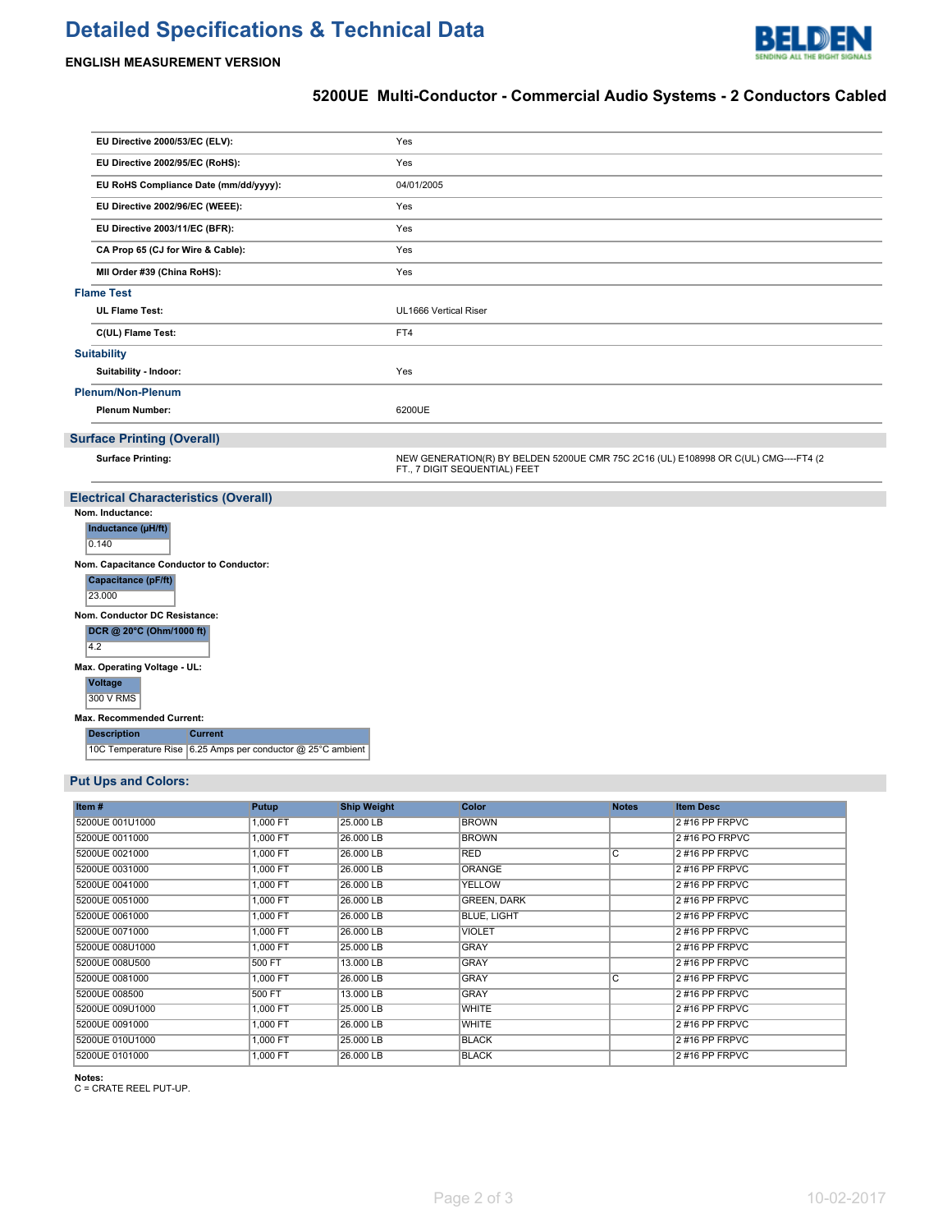# **Detailed Specifications & Technical Data**



## **ENGLISH MEASUREMENT VERSION**

# **5200UE Multi-Conductor - Commercial Audio Systems - 2 Conductors Cabled**

| EU Directive 2000/53/EC (ELV):                                  | Yes                                                                                                                  |  |  |  |  |  |  |
|-----------------------------------------------------------------|----------------------------------------------------------------------------------------------------------------------|--|--|--|--|--|--|
| EU Directive 2002/95/EC (RoHS):                                 | Yes                                                                                                                  |  |  |  |  |  |  |
| EU RoHS Compliance Date (mm/dd/yyyy):                           | 04/01/2005<br>Yes<br>Yes                                                                                             |  |  |  |  |  |  |
| EU Directive 2002/96/EC (WEEE):                                 |                                                                                                                      |  |  |  |  |  |  |
| EU Directive 2003/11/EC (BFR):                                  |                                                                                                                      |  |  |  |  |  |  |
| CA Prop 65 (CJ for Wire & Cable):                               | Yes                                                                                                                  |  |  |  |  |  |  |
| MII Order #39 (China RoHS):                                     | Yes                                                                                                                  |  |  |  |  |  |  |
| <b>Flame Test</b>                                               |                                                                                                                      |  |  |  |  |  |  |
| <b>UL Flame Test:</b>                                           | UL1666 Vertical Riser                                                                                                |  |  |  |  |  |  |
| C(UL) Flame Test:                                               | FT4                                                                                                                  |  |  |  |  |  |  |
| <b>Suitability</b>                                              |                                                                                                                      |  |  |  |  |  |  |
| Suitability - Indoor:                                           | Yes                                                                                                                  |  |  |  |  |  |  |
| <b>Plenum/Non-Plenum</b>                                        |                                                                                                                      |  |  |  |  |  |  |
| <b>Plenum Number:</b>                                           | 6200UE                                                                                                               |  |  |  |  |  |  |
| <b>Surface Printing (Overall)</b>                               |                                                                                                                      |  |  |  |  |  |  |
|                                                                 |                                                                                                                      |  |  |  |  |  |  |
| <b>Surface Printing:</b>                                        | NEW GENERATION(R) BY BELDEN 5200UE CMR 75C 2C16 (UL) E108998 OR C(UL) CMG----FT4 (2<br>FT., 7 DIGIT SEQUENTIAL) FEET |  |  |  |  |  |  |
|                                                                 |                                                                                                                      |  |  |  |  |  |  |
| <b>Electrical Characteristics (Overall)</b><br>Nom. Inductance: |                                                                                                                      |  |  |  |  |  |  |
| Inductance (µH/ft)<br>0.140                                     |                                                                                                                      |  |  |  |  |  |  |
| Nom. Capacitance Conductor to Conductor:                        |                                                                                                                      |  |  |  |  |  |  |
| Capacitance (pF/ft)<br>23.000                                   |                                                                                                                      |  |  |  |  |  |  |
| Nom. Conductor DC Resistance:                                   |                                                                                                                      |  |  |  |  |  |  |
| DCR @ 20°C (Ohm/1000 ft)                                        |                                                                                                                      |  |  |  |  |  |  |
| 4.2                                                             |                                                                                                                      |  |  |  |  |  |  |
| Max. Operating Voltage - UL:                                    |                                                                                                                      |  |  |  |  |  |  |
| <b>Voltage</b><br>300 V RMS                                     |                                                                                                                      |  |  |  |  |  |  |
| Max. Recommended Current:                                       |                                                                                                                      |  |  |  |  |  |  |
| <b>Description</b><br><b>Current</b>                            |                                                                                                                      |  |  |  |  |  |  |

### **Put Ups and Colors:**

| Item#           | Putup    | <b>Ship Weight</b> | <b>Color</b>       | <b>Notes</b>   | <b>Item Desc</b> |
|-----------------|----------|--------------------|--------------------|----------------|------------------|
| 5200UE 001U1000 | 1,000 FT | 25,000 LB          | <b>BROWN</b>       |                | 2#16 PP FRPVC    |
| 5200UE 0011000  | 1,000 FT | 26,000 LB          | <b>BROWN</b>       |                | 2#16 PO FRPVC    |
| 5200UE 0021000  | 1.000 FT | 26,000 LB          | <b>RED</b>         | $\overline{c}$ | 2#16 PP FRPVC    |
| 5200UE 0031000  | 1,000 FT | 26,000 LB          | <b>ORANGE</b>      |                | 2#16 PP FRPVC    |
| 5200UE 0041000  | 1,000 FT | 26,000 LB          | <b>YELLOW</b>      |                | 2#16 PP FRPVC    |
| 5200UE 0051000  | 1,000 FT | 26,000 LB          | <b>GREEN, DARK</b> |                | 2#16 PP FRPVC    |
| 5200UE 0061000  | 1,000 FT | 26,000 LB          | <b>BLUE, LIGHT</b> |                | 2#16 PP FRPVC    |
| 5200UE 0071000  | 1,000 FT | 26,000 LB          | <b>VIOLET</b>      |                | 2#16 PP FRPVC    |
| 5200UE 008U1000 | 1,000 FT | 25,000 LB          | <b>GRAY</b>        |                | 2#16 PP FRPVC    |
| 5200UE 008U500  | 500 FT   | 13,000 LB          | <b>GRAY</b>        |                | 2#16 PP FRPVC    |
| 5200UE 0081000  | 1,000 FT | 26,000 LB          | <b>GRAY</b>        | C              | 2#16 PP FRPVC    |
| 5200UE 008500   | 500 FT   | 13,000 LB          | <b>GRAY</b>        |                | 2#16 PP FRPVC    |
| 5200UE 009U1000 | 1.000 FT | 25,000 LB          | <b>WHITE</b>       |                | 2#16 PP FRPVC    |
| 5200UE 0091000  | 1,000 FT | 26,000 LB          | <b>WHITE</b>       |                | 2#16 PP FRPVC    |
| 5200UE 010U1000 | 1,000 FT | 25.000 LB          | <b>BLACK</b>       |                | 2#16 PP FRPVC    |
| 5200UE 0101000  | 1.000 FT | 26,000 LB          | <b>BLACK</b>       |                | 2#16 PP FRPVC    |

**Notes:** C = CRATE REEL PUT-UP.